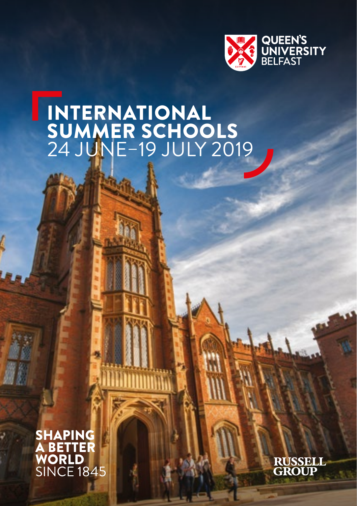

## INTERNATIONAL SUMMER SCHOOLS 24 JUNE–19 JULY 2019



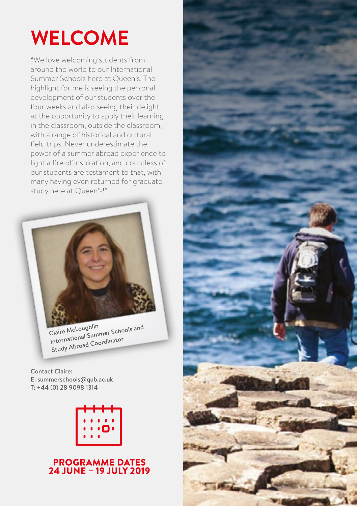# **WELCOME**

"We love welcoming students from around the world to our International Summer Schools here at Queen's. The highlight for me is seeing the personal development of our students over the four weeks and also seeing their delight at the opportunity to apply their learning in the classroom, outside the classroom, with a range of historical and cultural field trips. Never underestimate the power of a summer abroad experience to light a fire of inspiration, and countless of our students are testament to that, with many having even returned for graduate study here at Queen's!"

Claire McLoughlin International Summer Schools and Study Abroad Coordinator

Contact Claire: E: summerschools@qub.ac.uk T: +44 (0) 28 9098 1314



#### PROGRAMME DATES 24 JUNE – 19 JULY 2019

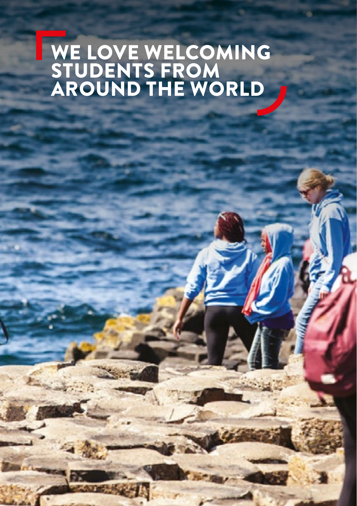## WE LOVE WELCOMING STUDENTS FROM AROUND THE WORLD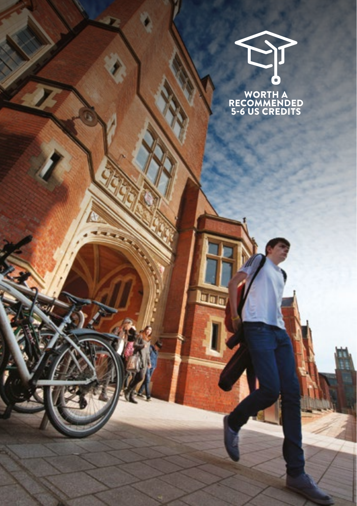

WORTH A **RECOMMENDED** 5-6 US CREDITS

<u>lu ju in</u>

57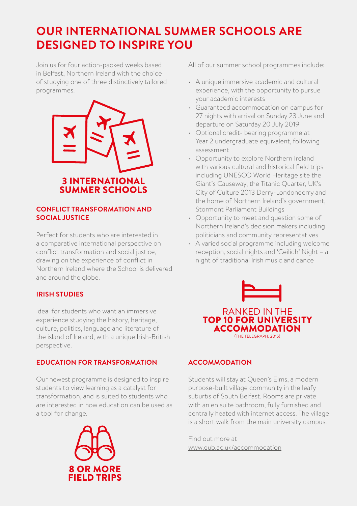### **OUR INTERNATIONAL SUMMER SCHOOLS ARE DESIGNED TO INSPIRE YOU**

Join us for four action-packed weeks based in Belfast, Northern Ireland with the choice of studying one of three distinctively tailored programmes.



#### **CONFLICT TRANSFORMATION AND SOCIAL JUSTICE**

Perfect for students who are interested in a comparative international perspective on conflict transformation and social justice, drawing on the experience of conflict in Northern Ireland where the School is delivered and around the globe.

#### **IRISH STUDIES**

Ideal for students who want an immersive experience studying the history, heritage, culture, politics, language and literature of the island of Ireland, with a unique Irish-British perspective.

#### **EDUCATION FOR TRANSFORMATION**

Our newest programme is designed to inspire students to view learning as a catalyst for transformation, and is suited to students who are interested in how education can be used as a tool for change.



All of our summer school programmes include:

- A unique immersive academic and cultural experience, with the opportunity to pursue your academic interests
- Guaranteed accommodation on campus for 27 nights with arrival on Sunday 23 June and departure on Saturday 20 July 2019
- Optional credit- bearing programme at Year 2 undergraduate equivalent, following assessment
- Opportunity to explore Northern Ireland with various cultural and historical field trips including UNESCO World Heritage site the Giant's Causeway, the Titanic Quarter, UK's City of Culture 2013 Derry-Londonderry and the home of Northern Ireland's government, Stormont Parliament Buildings
- Opportunity to meet and question some of Northern Ireland's decision makers including politicians and community representatives
- A varied social programme including welcome reception, social nights and 'Ceilidh' Night – a night of traditional Irish music and dance



#### **ACCOMMODATION**

Students will stay at Queen's Elms, a modern purpose-built village community in the leafy suburbs of South Belfast. Rooms are private with an en suite bathroom, fully furnished and centrally heated with internet access. The village is a short walk from the main university campus.

Find out more at www.qub.ac.uk/accommodation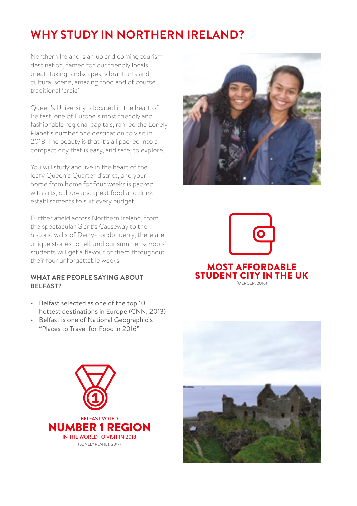### **WHY STUDY IN NORTHERN IRELAND?**

Northern Ireland is an up and coming tourism destination, famed for our friendly locals, breathtaking landscapes, vibrant arts and cultural scene, amazing food and of course traditional 'craic'!

Queen's University is located in the heart of Belfast, one of Europe's most friendly and fashionable regional capitals, ranked the Lonely Planet's number one destination to visit in 2018. The beauty is that it's all packed into a compact city that is easy, and safe, to explore.

You will study and live in the heart of the leafy Queen's Quarter district, and your home from home for four weeks is packed with arts, culture and great food and drink establishments to suit every budget!

Further afield across Northern Ireland, from the spectacular Giant's Causeway to the historic walls of Derry-Londonderry, there are unique stories to tell, and our summer schools' students will get a flavour of them throughout their four unforgettable weeks.

#### **WHAT ARE PEOPLE SAYING ABOUT BELFAST?**

- Belfast selected as one of the top 10 hottest destinations in Europe (CNN, 2013)
- Belfast is one of National Geographic's "Places to Travel for Food in 2016"







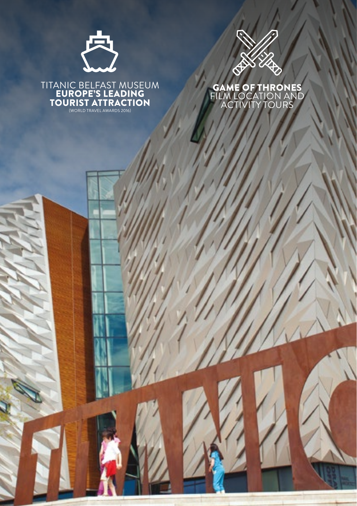



GAME OF THRONES FILM LOCATION AND ACTIVITY TOURS

TITANIC BELFAST MUSEUM EUROPE'S LEADING TOURIST ATTRACTION (WORLD TRAVEL AWARDS 2016)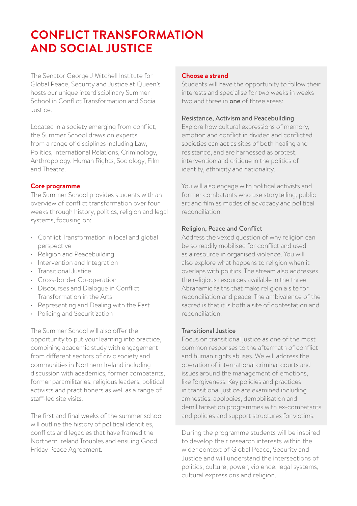### **CONFLICT TRANSFORMATION AND SOCIAL JUSTICE**

The Senator George J Mitchell Institute for Global Peace, Security and Justice at Queen's hosts our unique interdisciplinary Summer School in Conflict Transformation and Social Justice.

Located in a society emerging from conflict, the Summer School draws on experts from a range of disciplines including Law, Politics, International Relations, Criminology, Anthropology, Human Rights, Sociology, Film and Theatre.

#### **Core programme**

The Summer School provides students with an overview of conflict transformation over four weeks through history, politics, religion and legal systems, focusing on:

- Conflict Transformation in local and global perspective
- Religion and Peacebuilding
- Intervention and Integration
- Transitional Justice
- Cross-border Co-operation
- Discourses and Dialogue in Conflict Transformation in the Arts
- Representing and Dealing with the Past
- Policing and Securitization

The Summer School will also offer the opportunity to put your learning into practice, combining academic study with engagement from different sectors of civic society and communities in Northern Ireland including discussion with academics, former combatants, former paramilitaries, religious leaders, political activists and practitioners as well as a range of staff-led site visits.

The first and final weeks of the summer school will outline the history of political identities, conflicts and legacies that have framed the Northern Ireland Troubles and ensuing Good Friday Peace Agreement.

#### **Choose a strand**

Students will have the opportunity to follow their interests and specialise for two weeks in weeks two and three in one of three areas:

#### Resistance, Activism and Peacebuilding

Explore how cultural expressions of memory, emotion and conflict in divided and conflicted societies can act as sites of both healing and resistance, and are harnessed as protest, intervention and critique in the politics of identity, ethnicity and nationality.

You will also engage with political activists and former combatants who use storytelling, public art and film as modes of advocacy and political reconciliation.

#### Religion, Peace and Conflict

Address the vexed question of why religion can be so readily mobilised for conflict and used as a resource in organised violence. You will also explore what happens to religion when it overlaps with politics. The stream also addresses the religious resources available in the three Abrahamic faiths that make religion a site for reconciliation and peace. The ambivalence of the sacred is that it is both a site of contestation and reconciliation.

#### Transitional Justice

Focus on transitional justice as one of the most common responses to the aftermath of conflict and human rights abuses. We will address the operation of international criminal courts and issues around the management of emotions, like forgiveness. Key policies and practices in transitional justice are examined including amnesties, apologies, demobilisation and demilitarisation programmes with ex-combatants and policies and support structures for victims.

During the programme students will be inspired to develop their research interests within the wider context of Global Peace, Security and Justice and will understand the intersections of politics, culture, power, violence, legal systems, cultural expressions and religion.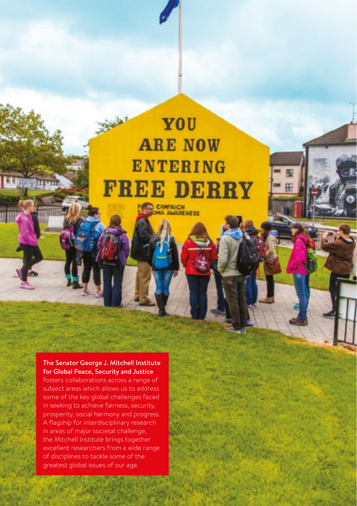## YOU **ARE NOW ENTERING FREE DERRY**

S CANPAICH<br>JOMA AWARENESS

The Senator George J. Mitchell Institute for Global Peace, Security and Justice

fosters collaborations across a range of subject areas which allows us to address some of the key global challenges faced in seeking to achieve fairness, security, prosperity, social harmony and progress. A flagship for interdisciplinary research in areas of major societal challenge, the Mitchell Institute brings together excellent researchers from a wide range of disciplines to tackle some of the greatest global issues of our age.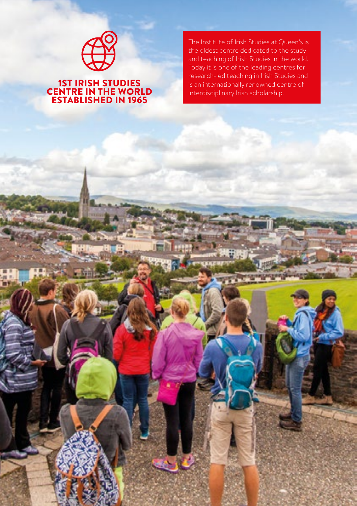

#### 1ST IRISH STUDIES CENTRE IN THE WORLD ESTABLISHED IN 1965

...

The Institute of Irish Studies at Queen's is the oldest centre dedicated to the study and teaching of Irish Studies in the world. Today it is one of the leading centres for research-led teaching in Irish Studies and is an internationally renowned centre of interdisciplinary Irish scholarship.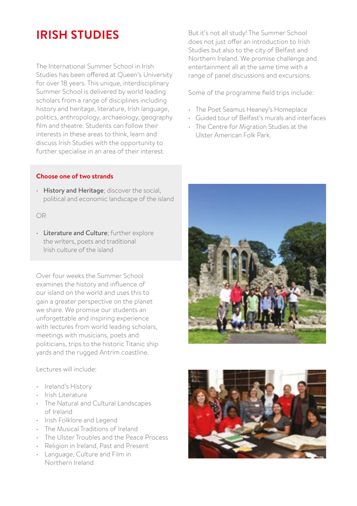### **IRISH STUDIES**

The International Summer School in Irish Studies has been offered at Queen's University for over 18 years. This unique, interdisciplinary Summer School is delivered by world leading scholars from a range of disciplines including history and heritage, literature, Irish language, politics, anthropology, archaeology, geography film and theatre. Students can follow their interests in these areas to think, learn and discuss Irish Studies with the opportunity to further specialise in an area of their interest.

#### **Choose one of two strands**

• History and Heritage; discover the social, political and economic landscape of the island

OR

• Literature and Culture; further explore the writers, poets and traditional Irish culture of the island

Over four weeks the Summer School examines the history and influence of our island on the world and uses this to gain a greater perspective on the planet we share. We promise our students an unforgettable and inspiring experience with lectures from world leading scholars, meetings with musicians, poets and politicians, trips to the historic Titanic ship yards and the rugged Antrim coastline.

Lectures will include:

- Ireland's History
- Irish Literature
- The Natural and Cultural Landscapes of Ireland
- Irish Folklore and Legend
- The Musical Traditions of Ireland
- The Ulster Troubles and the Peace Process
- Religion in Ireland, Past and Present
- Language, Culture and Film in Northern Ireland

But it's not all study! The Summer School does not just offer an introduction to Irish Studies but also to the city of Belfast and Northern Ireland. We promise challenge and entertainment all at the same time with a range of panel discussions and excursions.

Some of the programme field trips include:

- The Poet Seamus Heaney's Homeplace
- Guided tour of Belfast's murals and interfaces
- The Centre for Migration Studies at the Ulster American Folk Park.



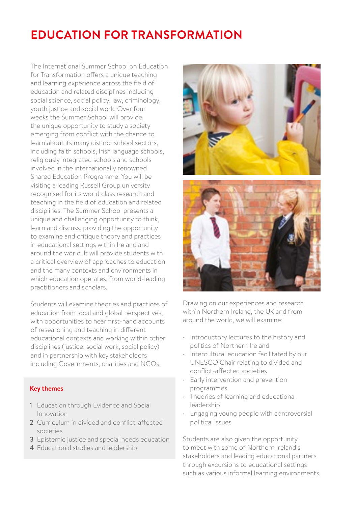### **EDUCATION FOR TRANSFORMATION**

The International Summer School on Education for Transformation offers a unique teaching and learning experience across the field of education and related disciplines including social science, social policy, law, criminology, youth justice and social work. Over four weeks the Summer School will provide the unique opportunity to study a society emerging from conflict with the chance to learn about its many distinct school sectors, including faith schools, Irish language schools, religiously integrated schools and schools involved in the internationally renowned Shared Education Programme. You will be visiting a leading Russell Group university recognised for its world class research and teaching in the field of education and related disciplines. The Summer School presents a unique and challenging opportunity to think, learn and discuss, providing the opportunity to examine and critique theory and practices in educational settings within Ireland and around the world. It will provide students with a critical overview of approaches to education and the many contexts and environments in which education operates, from world-leading practitioners and scholars.

Students will examine theories and practices of education from local and global perspectives, with opportunities to hear first-hand accounts of researching and teaching in different educational contexts and working within other disciplines (justice, social work, social policy) and in partnership with key stakeholders including Governments, charities and NGOs.

#### **Key themes**

- 1 Education through Evidence and Social Innovation
- 2 Curriculum in divided and conflict-affected societies
- 3 Epistemic justice and special needs education
- 4 Educational studies and leadership





Drawing on our experiences and research within Northern Ireland, the UK and from around the world, we will examine:

- Introductory lectures to the history and politics of Northern Ireland
- Intercultural education facilitated by our UNESCO Chair relating to divided and conflict-affected societies
- Early intervention and prevention programmes
- Theories of learning and educational leadership
- Engaging young people with controversial political issues

Students are also given the opportunity to meet with some of Northern Ireland's stakeholders and leading educational partners through excursions to educational settings such as various informal learning environments.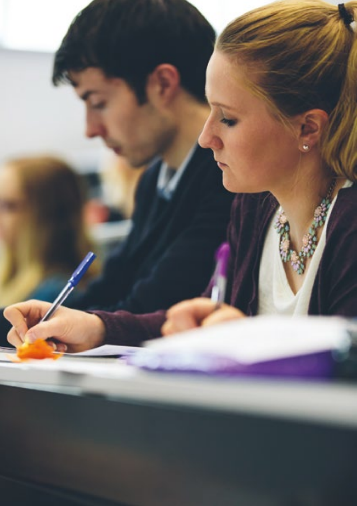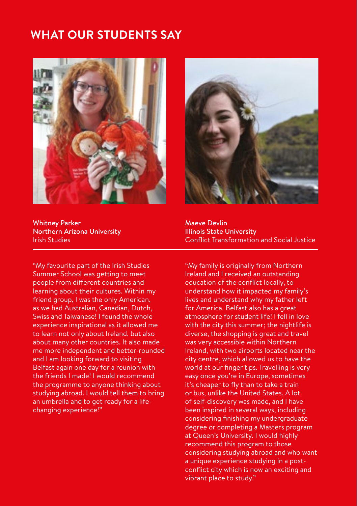### **WHAT OUR STUDENTS SAY**





"My favourite part of the Irish Studies Summer School was getting to meet people from different countries and learning about their cultures. Within my friend group, I was the only American, as we had Australian, Canadian, Dutch, Swiss and Taiwanese! I found the whole experience inspirational as it allowed me to learn not only about Ireland, but also about many other countries. It also made me more independent and better-rounded and I am looking forward to visiting Belfast again one day for a reunion with the friends I made! I would recommend the programme to anyone thinking about studying abroad. I would tell them to bring an umbrella and to get ready for a lifechanging experience!"



Maeve Devlin Illinois State University Conflict Transformation and Social Justice

"My family is originally from Northern Ireland and I received an outstanding education of the conflict locally, to understand how it impacted my family's lives and understand why my father left for America. Belfast also has a great atmosphere for student life! I fell in love with the city this summer; the nightlife is diverse, the shopping is great and travel was very accessible within Northern Ireland, with two airports located near the city centre, which allowed us to have the world at our finger tips. Travelling is very easy once you're in Europe, sometimes it's cheaper to fly than to take a train or bus, unlike the United States. A lot of self-discovery was made, and I have been inspired in several ways, including considering finishing my undergraduate degree or completing a Masters program at Queen's University. I would highly recommend this program to those considering studying abroad and who want a unique experience studying in a postconflict city which is now an exciting and vibrant place to study."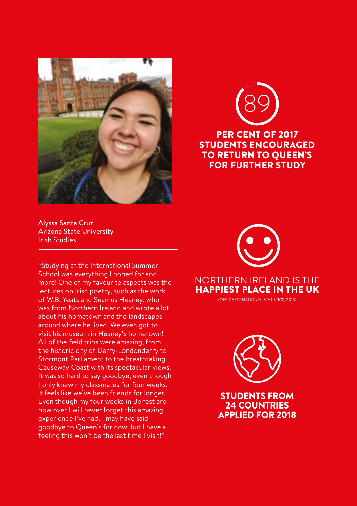

PER CENT OF 2017 STUDENTS ENCOURAGED TO RETURN TO QUEEN'S FOR FURTHER STUDY 89

Alyssa Santa Cruz Arizona State University Irish Studies

"Studying at the International Summer School was everything I hoped for and more! One of my favourite aspects was the lectures on Irish poetry, such as the work of W.B. Yeats and Seamus Heaney, who was from Northern Ireland and wrote a lot about his hometown and the landscapes around where he lived. We even got to visit his museum in Heaney's hometown! All of the field trips were amazing, from the historic city of Derry-Londonderry to Stormont Parliament to the breathtaking Causeway Coast with its spectacular views. It was so hard to say goodbye, even though I only knew my classmates for four weeks, it feels like we've been friends for longer. Even though my four weeks in Belfast are now over I will never forget this amazing experience I've had. I may have said goodbye to Queen's for now, but I have a feeling this won't be the last time I visit!"





STUDENTS FROM 24 COUNTRIES APPLIED FOR 2018